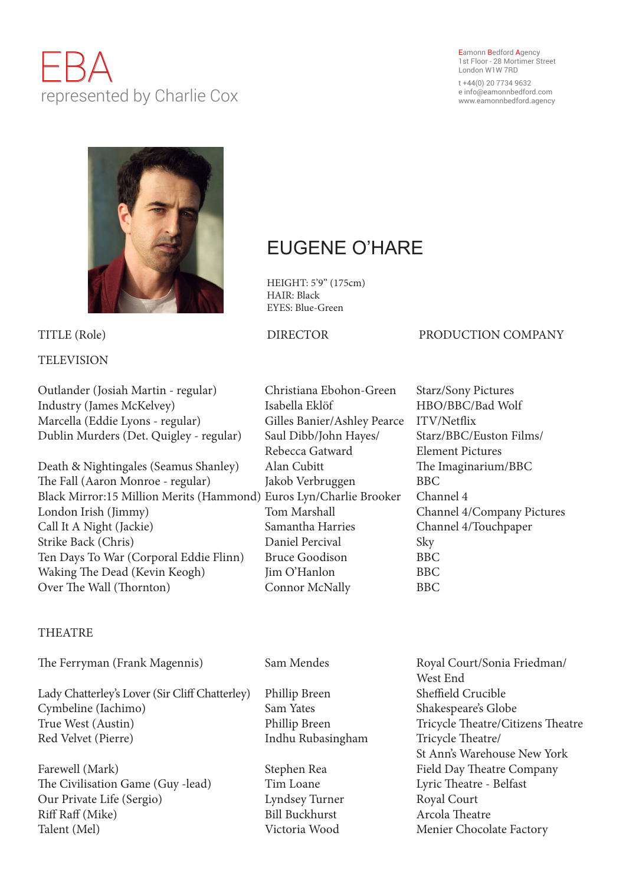# EBA represented by Charlie Cox

### Eamonn Bedford Agency 1st Floor - 28 Mortimer Street London W1W 7RD

t +44(0) 20 7734 9632 e info@eamonnbedford.com www.eamonnbedford.agency



## **TELEVISION**

Outlander (Josiah Martin - regular) Christiana Ebohon-Green Starz/Sony Pictures Industry (James McKelvey) Isabella Eklöf HBO/BBC/Bad Wolf Marcella (Eddie Lyons - regular) Gilles Banier/Ashley Pearce ITV/Netflix Dublin Murders (Det. Quigley - regular) Saul Dibb/John Hayes/ Starz/BBC/Euston Films/

Death & Nightingales (Seamus Shanley) Alan Cubitt The Imaginarium/BBC The Fall (Aaron Monroe - regular) Jakob Verbruggen BBC Black Mirror:15 Million Merits (Hammond) Euros Lyn/Charlie Brooker Channel 4 London Irish (Jimmy) Tom Marshall Channel 4/Company Pictures Call It A Night (Jackie) Samantha Harries Channel 4/Touchpaper Strike Back (Chris) Daniel Percival Sky Ten Days To War (Corporal Eddie Flinn) Bruce Goodison BBC Waking The Dead (Kevin Keogh) Jim O'Hanlon BBC Over The Wall (Thornton) Connor McNally BBC

## **THEATRE**

The Ferryman (Frank Magennis) Sam Mendes Royal Court/Sonia Friedman/

Lady Chatterley's Lover (Sir Cliff Chatterley) Phillip Breen Sheffield Crucible Cymbeline (Iachimo) Sam Yates Shakespeare's Globe True West (Austin) Phillip Breen Tricycle Theatre/Citizens Theatre Red Velvet (Pierre) Tricycle Theatre/ Indhu Rubasingham Tricycle Theatre/

Farewell (Mark) Stephen Rea Field Day Theatre Company The Civilisation Game (Guy -lead) Tim Loane Lyric Theatre - Belfast Our Private Life (Sergio) Lyndsey Turner Royal Court Riff Raff (Mike) Bill Buckhurst Arcola Theatre Talent (Mel) **Victoria Wood** Menier Chocolate Factory

## EUGENE O'HARE

HEIGHT: 5'9" (175cm) HAIR: Black EYES: Blue-Green

## TITLE (Role) DIRECTOR PRODUCTION COMPANY

Rebecca Gatward Element Pictures

 West End St Ann's Warehouse New York